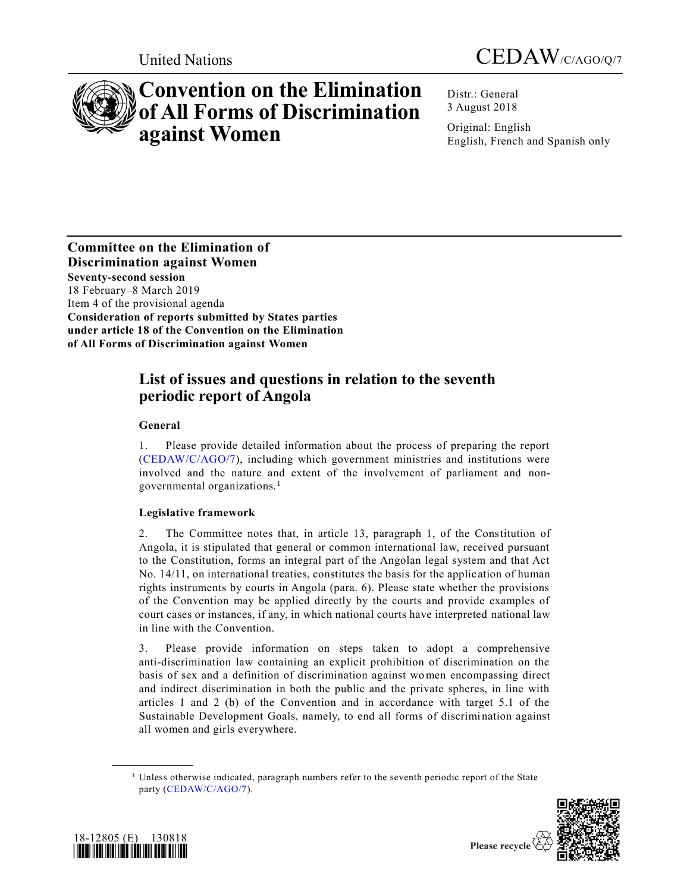



# **Convention on the Elimination of All Forms of Discrimination against Women**

Distr.: General 3 August 2018

Original: English English, French and Spanish only

**Committee on the Elimination of Discrimination against Women Seventy-second session** 18 February–8 March 2019 Item 4 of the provisional agenda **Consideration of reports submitted by States parties under article 18 of the Convention on the Elimination of All Forms of Discrimination against Women**

# **List of issues and questions in relation to the seventh periodic report of Angola**

**General**

1. Please provide detailed information about the process of preparing the report [\(CEDAW/C/AGO/7\)](https://undocs.org/CEDAW/C/AGO/7), including which government ministries and institutions were involved and the nature and extent of the involvement of parliament and nongovernmental organizations.<sup>1</sup>

# **Legislative framework**

2. The Committee notes that, in article 13, paragraph 1, of the Constitution of Angola, it is stipulated that general or common international law, received pursuant to the Constitution, forms an integral part of the Angolan legal system and that Act No. 14/11, on international treaties, constitutes the basis for the applic ation of human rights instruments by courts in Angola (para. 6). Please state whether the provisions of the Convention may be applied directly by the courts and provide examples of court cases or instances, if any, in which national courts have interpreted national law in line with the Convention.

3. Please provide information on steps taken to adopt a comprehensive anti-discrimination law containing an explicit prohibition of discrimination on the basis of sex and a definition of discrimination against women encompassing direct and indirect discrimination in both the public and the private spheres, in line with articles 1 and 2 (b) of the Convention and in accordance with target 5.1 of the Sustainable Development Goals, namely, to end all forms of discrimi nation against all women and girls everywhere.

<sup>&</sup>lt;sup>1</sup> Unless otherwise indicated, paragraph numbers refer to the seventh periodic report of the State party [\(CEDAW/C/AGO/7\)](https://undocs.org/CEDAW/C/AGO/7).





**\_\_\_\_\_\_\_\_\_\_\_\_\_\_\_\_\_\_**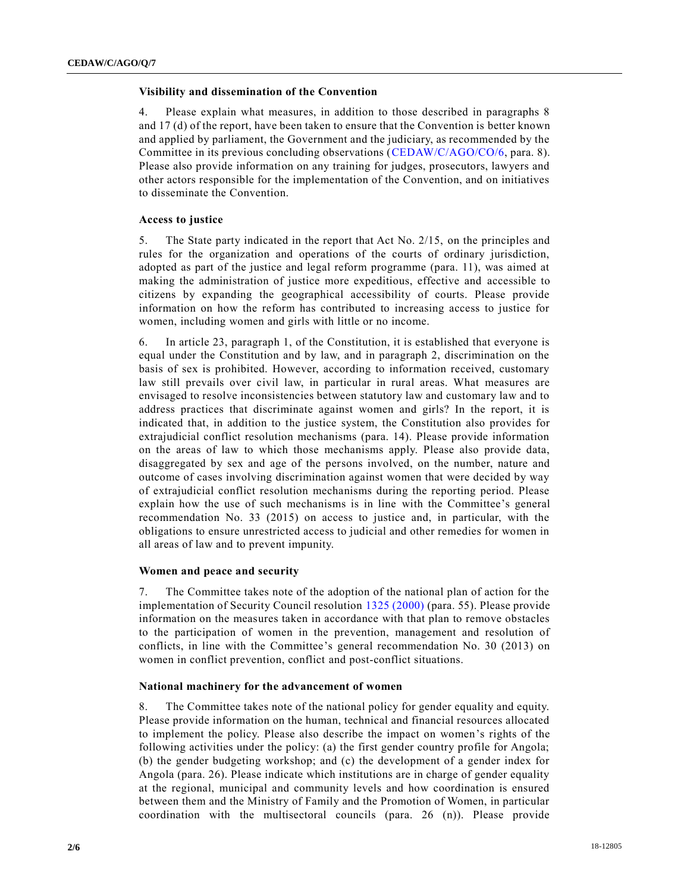#### **Visibility and dissemination of the Convention**

4. Please explain what measures, in addition to those described in paragraphs 8 and 17 (d) of the report, have been taken to ensure that the Convention is better known and applied by parliament, the Government and the judiciary, as recommended by the Committee in its previous concluding observations [\(CEDAW/C/AGO/CO/6,](https://undocs.org/CEDAW/C/AGO/CO/6) para. 8). Please also provide information on any training for judges, prosecutors, lawyers and other actors responsible for the implementation of the Convention, and on initiatives to disseminate the Convention.

# **Access to justice**

5. The State party indicated in the report that Act No. 2/15, on the principles and rules for the organization and operations of the courts of ordinary jurisdiction, adopted as part of the justice and legal reform programme (para. 11), was aimed at making the administration of justice more expeditious, effective and accessible to citizens by expanding the geographical accessibility of courts. Please provide information on how the reform has contributed to increasing access to justice for women, including women and girls with little or no income.

6. In article 23, paragraph 1, of the Constitution, it is established that everyone is equal under the Constitution and by law, and in paragraph 2, discrimination on the basis of sex is prohibited. However, according to information received, customary law still prevails over civil law, in particular in rural areas. What measures are envisaged to resolve inconsistencies between statutory law and customary law and to address practices that discriminate against women and girls? In the report, it is indicated that, in addition to the justice system, the Constitution also provides for extrajudicial conflict resolution mechanisms (para. 14). Please provide information on the areas of law to which those mechanisms apply. Please also provide data, disaggregated by sex and age of the persons involved, on the number, nature and outcome of cases involving discrimination against women that were decided by way of extrajudicial conflict resolution mechanisms during the reporting period. Please explain how the use of such mechanisms is in line with the Committee's general recommendation No. 33 (2015) on access to justice and, in particular, with the obligations to ensure unrestricted access to judicial and other remedies for women in all areas of law and to prevent impunity.

#### **Women and peace and security**

7. The Committee takes note of the adoption of the national plan of action for the implementation of Security Council resolution [1325 \(2000\)](https://undocs.org/S/RES/1325(2000)) (para. 55). Please provide information on the measures taken in accordance with that plan to remove obstacles to the participation of women in the prevention, management and resolution of conflicts, in line with the Committee's general recommendation No. 30 (2013) on women in conflict prevention, conflict and post-conflict situations.

#### **National machinery for the advancement of women**

8. The Committee takes note of the national policy for gender equality and equity. Please provide information on the human, technical and financial resources allocated to implement the policy. Please also describe the impact on women's rights of the following activities under the policy: (a) the first gender country profile for Angola; (b) the gender budgeting workshop; and (c) the development of a gender index for Angola (para. 26). Please indicate which institutions are in charge of gender equality at the regional, municipal and community levels and how coordination is ensured between them and the Ministry of Family and the Promotion of Women, in particular coordination with the multisectoral councils (para. 26 (n)). Please provide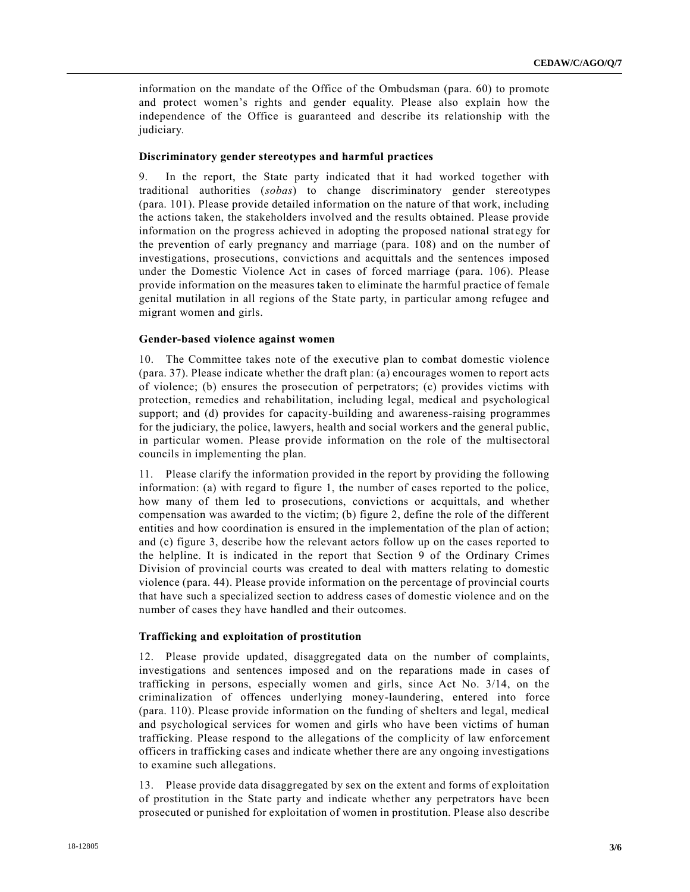information on the mandate of the Office of the Ombudsman (para. 60) to promote and protect women's rights and gender equality. Please also explain how the independence of the Office is guaranteed and describe its relationship with the judiciary.

#### **Discriminatory gender stereotypes and harmful practices**

9. In the report, the State party indicated that it had worked together with traditional authorities (*sobas*) to change discriminatory gender stereotypes (para. 101). Please provide detailed information on the nature of that work, including the actions taken, the stakeholders involved and the results obtained. Please provide information on the progress achieved in adopting the proposed national strat egy for the prevention of early pregnancy and marriage (para. 108) and on the number of investigations, prosecutions, convictions and acquittals and the sentences imposed under the Domestic Violence Act in cases of forced marriage (para. 106). Please provide information on the measures taken to eliminate the harmful practice of female genital mutilation in all regions of the State party, in particular among refugee and migrant women and girls.

#### **Gender-based violence against women**

10. The Committee takes note of the executive plan to combat domestic violence (para. 37). Please indicate whether the draft plan: (a) encourages women to report acts of violence; (b) ensures the prosecution of perpetrators; (c) provides victims with protection, remedies and rehabilitation, including legal, medical and psychological support; and (d) provides for capacity-building and awareness-raising programmes for the judiciary, the police, lawyers, health and social workers and the general public, in particular women. Please provide information on the role of the multisectoral councils in implementing the plan.

11. Please clarify the information provided in the report by providing the following information: (a) with regard to figure 1, the number of cases reported to the police, how many of them led to prosecutions, convictions or acquittals, and whether compensation was awarded to the victim; (b) figure 2, define the role of the different entities and how coordination is ensured in the implementation of the plan of action; and (c) figure 3, describe how the relevant actors follow up on the cases reported to the helpline. It is indicated in the report that Section 9 of the Ordinary Crimes Division of provincial courts was created to deal with matters relating to domestic violence (para. 44). Please provide information on the percentage of provincial courts that have such a specialized section to address cases of domestic violence and on the number of cases they have handled and their outcomes.

# **Trafficking and exploitation of prostitution**

12. Please provide updated, disaggregated data on the number of complaints, investigations and sentences imposed and on the reparations made in cases of trafficking in persons, especially women and girls, since Act No. 3/14, on the criminalization of offences underlying money-laundering, entered into force (para. 110). Please provide information on the funding of shelters and legal, medical and psychological services for women and girls who have been victims of human trafficking. Please respond to the allegations of the complicity of law enforcement officers in trafficking cases and indicate whether there are any ongoing investigations to examine such allegations.

13. Please provide data disaggregated by sex on the extent and forms of exploitation of prostitution in the State party and indicate whether any perpetrators have been prosecuted or punished for exploitation of women in prostitution. Please also describe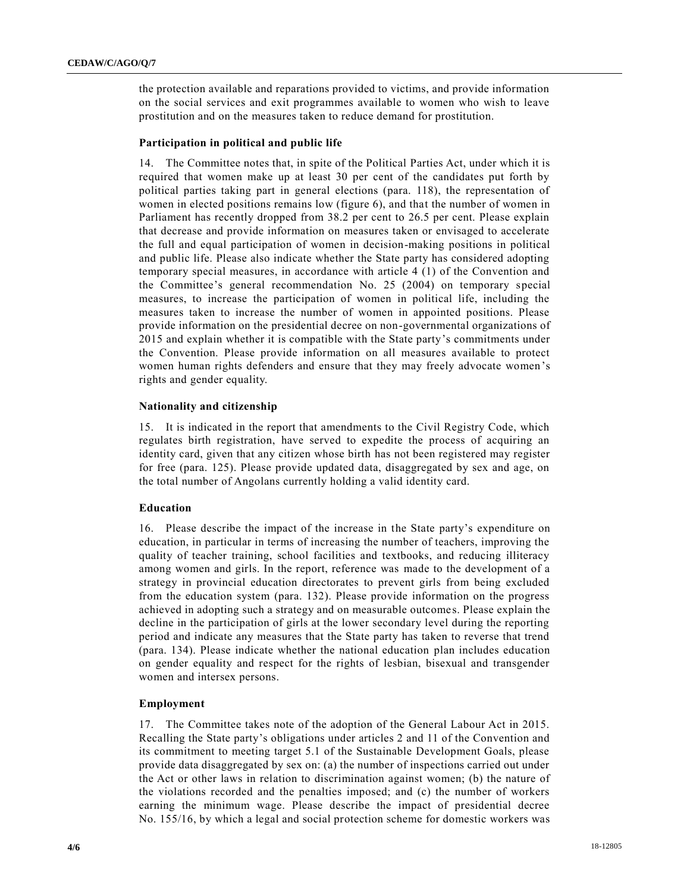the protection available and reparations provided to victims, and provide information on the social services and exit programmes available to women who wish to leave prostitution and on the measures taken to reduce demand for prostitution.

#### **Participation in political and public life**

14. The Committee notes that, in spite of the Political Parties Act, under which it is required that women make up at least 30 per cent of the candidates put forth by political parties taking part in general elections (para. 118), the representation of women in elected positions remains low (figure 6), and that the number of women in Parliament has recently dropped from 38.2 per cent to 26.5 per cent. Please explain that decrease and provide information on measures taken or envisaged to accelerate the full and equal participation of women in decision-making positions in political and public life. Please also indicate whether the State party has considered adopting temporary special measures, in accordance with article 4 (1) of the Convention and the Committee's general recommendation No. 25 (2004) on temporary special measures, to increase the participation of women in political life, including the measures taken to increase the number of women in appointed positions. Please provide information on the presidential decree on non-governmental organizations of 2015 and explain whether it is compatible with the State party's commitments under the Convention. Please provide information on all measures available to protect women human rights defenders and ensure that they may freely advocate women's rights and gender equality.

#### **Nationality and citizenship**

15. It is indicated in the report that amendments to the Civil Registry Code, which regulates birth registration, have served to expedite the process of acquiring an identity card, given that any citizen whose birth has not been registered may register for free (para. 125). Please provide updated data, disaggregated by sex and age, on the total number of Angolans currently holding a valid identity card.

# **Education**

16. Please describe the impact of the increase in the State party's expenditure on education, in particular in terms of increasing the number of teachers, improving the quality of teacher training, school facilities and textbooks, and reducing illiteracy among women and girls. In the report, reference was made to the development of a strategy in provincial education directorates to prevent girls from being excluded from the education system (para. 132). Please provide information on the progress achieved in adopting such a strategy and on measurable outcomes. Please explain the decline in the participation of girls at the lower secondary level during the reporting period and indicate any measures that the State party has taken to reverse that trend (para. 134). Please indicate whether the national education plan includes education on gender equality and respect for the rights of lesbian, bisexual and transgender women and intersex persons.

#### **Employment**

17. The Committee takes note of the adoption of the General Labour Act in 2015. Recalling the State party's obligations under articles 2 and 11 of the Convention and its commitment to meeting target 5.1 of the Sustainable Development Goals, please provide data disaggregated by sex on: (a) the number of inspections carried out under the Act or other laws in relation to discrimination against women; (b) the nature of the violations recorded and the penalties imposed; and (c) the number of workers earning the minimum wage. Please describe the impact of presidential decree No. 155/16, by which a legal and social protection scheme for domestic workers was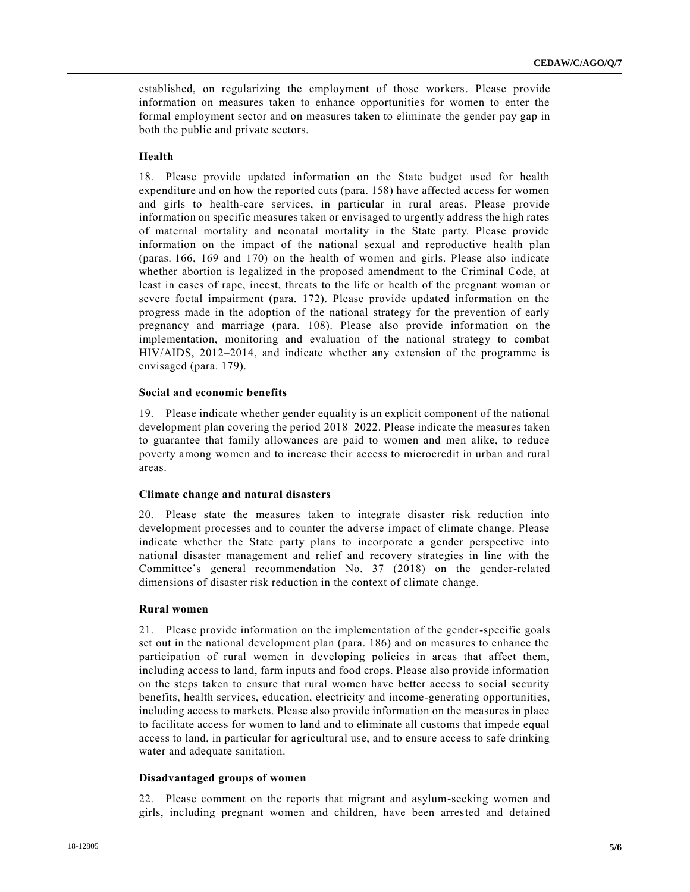established, on regularizing the employment of those workers. Please provide information on measures taken to enhance opportunities for women to enter the formal employment sector and on measures taken to eliminate the gender pay gap in both the public and private sectors.

# **Health**

18. Please provide updated information on the State budget used for health expenditure and on how the reported cuts (para. 158) have affected access for women and girls to health-care services, in particular in rural areas. Please provide information on specific measures taken or envisaged to urgently address the high rates of maternal mortality and neonatal mortality in the State party. Please provide information on the impact of the national sexual and reproductive health plan (paras. 166, 169 and 170) on the health of women and girls. Please also indicate whether abortion is legalized in the proposed amendment to the Criminal Code, at least in cases of rape, incest, threats to the life or health of the pregnant woman or severe foetal impairment (para. 172). Please provide updated information on the progress made in the adoption of the national strategy for the prevention of early pregnancy and marriage (para. 108). Please also provide information on the implementation, monitoring and evaluation of the national strategy to combat HIV/AIDS, 2012–2014, and indicate whether any extension of the programme is envisaged (para. 179).

# **Social and economic benefits**

19. Please indicate whether gender equality is an explicit component of the national development plan covering the period 2018–2022. Please indicate the measures taken to guarantee that family allowances are paid to women and men alike, to reduce poverty among women and to increase their access to microcredit in urban and rural areas.

# **Climate change and natural disasters**

20. Please state the measures taken to integrate disaster risk reduction into development processes and to counter the adverse impact of climate change. Please indicate whether the State party plans to incorporate a gender perspective into national disaster management and relief and recovery strategies in line with the Committee's general recommendation No. 37 (2018) on the gender-related dimensions of disaster risk reduction in the context of climate change.

# **Rural women**

21. Please provide information on the implementation of the gender-specific goals set out in the national development plan (para. 186) and on measures to enhance the participation of rural women in developing policies in areas that affect them, including access to land, farm inputs and food crops. Please also provide information on the steps taken to ensure that rural women have better access to social security benefits, health services, education, electricity and income-generating opportunities, including access to markets. Please also provide information on the measures in place to facilitate access for women to land and to eliminate all customs that impede equal access to land, in particular for agricultural use, and to ensure access to safe drinking water and adequate sanitation.

# **Disadvantaged groups of women**

22. Please comment on the reports that migrant and asylum-seeking women and girls, including pregnant women and children, have been arrested and detained